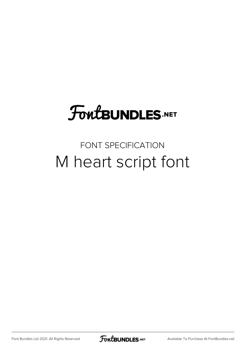# **FoutBUNDLES.NET**

### FONT SPECIFICATION M heart script font

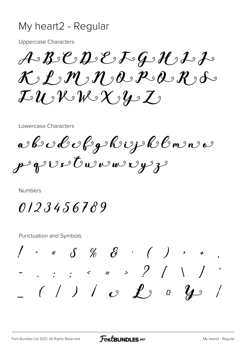#### My heart2 - Regular

**Uppercase Characters** 

 $A - B - C - D - E - G - C - L - F - C$  $\mathcal{K}$  ,  $P$  ,  $m$  ,  $n$  ,  $\partial$  ,  $P$  ,  $\partial$  ,  $R$  ,  $\partial$  ,  $\partial$  $\mathcal{I} \mathcal{U}$  of  $\mathcal{V} \mathcal{N} \mathcal{N}$  of  $\mathcal{Y} \mathcal{Y}$ 

Lowercase Characters

arbockerfgskrijsklomense p guesture aver y 3

Numbers

0123456789

**Punctuation and Symbols** 

 $1 * S \mathcal{Z} \mathcal{Z} \qquad (1) *$ - . . . .  $\le$  = > ? / \ / ^  $(1) i$   $e$   $f$ <sup>9</sup>  $g$   $g$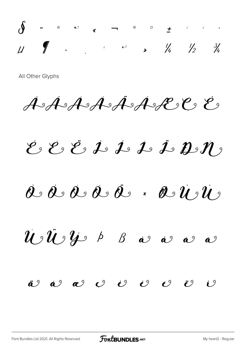$\int$  . . . . . . 1  $\overline{U}$ 

All Other Glyphs

ASASASASASEE E

 $\mathcal{E}_2 \mathcal{E}_3 \mathcal{L}_2 \mathcal{L}_3 \mathcal{L}_2 \mathcal{L}_3 \mathcal{L}_2 \mathcal{H}_3$ 

 $\hat{u}$   $\hat{u}$   $\hat{y}$   $\mapsto$   $\beta$   $\hat{a}$   $\hat{a}$   $\hat{a}$  $\hat{a}^{\vartheta}$ 

 $\ddot{\mathbf{a}}^{\mathcal{Y}}$   $\dot{\mathbf{a}}^{\mathcal{Y}}$   $\mathbf{a}^{\mathcal{Y}}$   $\mathbf{c}^{\mathcal{Y}}$   $\mathbf{c}^{\mathcal{Y}}$   $\dot{\mathbf{c}}^{\mathcal{Y}}$  $\mathcal{C}^{\vartheta}$  $\ddot{\mathcal{C}}$  $\mathcal{U}$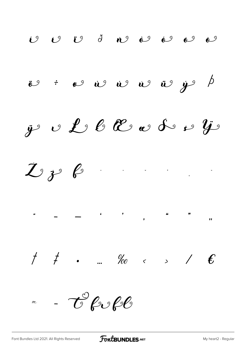$\begin{matrix} 1 & 0 \\ 0 & 0 \end{matrix}$  $\mathcal{O}$   $\mathcal{O}$   $\mathcal{O}$   $\delta$   $\mathcal{O}$   $\mathcal{O}$   $\mathcal{O}$  $\ddot{\mathbf{v}}$  :  $\mathbf{v}$   $\dot{\mathbf{v}}$   $\dot{\mathbf{v}}$   $\dot{\mathbf{v}}$   $\ddot{\mathbf{v}}$   $\ddot{\mathbf{v}}$  $\overline{\mathcal{P}}$ v L & E & S & i  $y$  $\ddot{\mathbf{y}}$  $I$   $i$   $i$  $\mathcal{C}$  for for  $\mathcal{P}$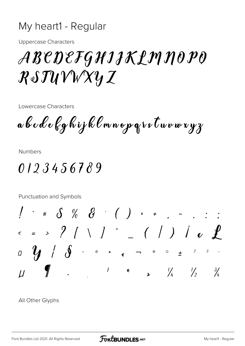#### My heart1 - Regular

**Uppercase Characters** 

## ABEDEFGHIJKLMNOPO  $R\triangle TUVWXYZ$

Lowercase Characters

a b c d e f g h i j k l m n o p q i s t u v w x y z

**Numbers** 

0123456789

Punctuation and Symbols  $1 * * S$  % & ( ) \* + , - . : ;  $\frac{1}{2}$  ,  $\int_{0}^{1}$  ,  $\int_{0}^{1}$  ,  $\int_{0}^{1}$  ,  $\int_{0}^{1}$  ,  $\int_{0}^{1}$  ,  $\int_{0}^{1}$  ,  $\int_{0}^{1}$  ,  $\int_{0}^{1}$  ,  $\int_{0}^{1}$  ,  $\int_{0}^{1}$  ,  $\int_{0}^{1}$  ,  $\int_{0}^{1}$  ,  $\int_{0}^{1}$  ,  $\int_{0}^{1}$  ,  $\int_{0}^{1}$  ,  $\int_{0}^{1}$  ,  $\overline{Q}$  $\frac{1}{2}$  and  $\frac{1}{2}$  and  $\frac{1}{2}$  and  $\frac{1}{2}$  and  $\frac{1}{2}$  and  $\frac{1}{2}$  $\frac{3}{4}$  $\overline{U}$ 

All Other Glyphs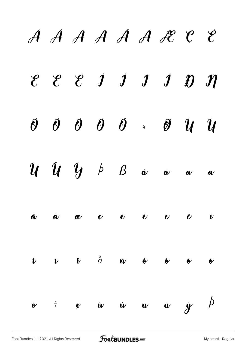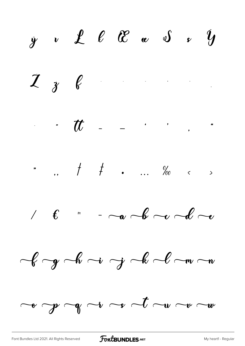$\dot{y}$  v  $\dot{\mathcal{L}}$   $\ell$   $\mathcal{C}$   $\alpha$   $\delta$   $\dot{y}$  $2 \t 3 \t 6$  $\mathcal{L}$  ,  $\mathcal{L}$  - - . . .  $1 \t f$  -  $-\infty$  b  $-\infty$  $-\ell - y$   $-\ell - i$   $\rightarrow$   $-\ell - w$  $\overline{\phantom{a}}$   $\overline{\phantom{a}}$   $\overline{\phantom{a}}$   $\overline{\phantom{a}}$   $\overline{\phantom{a}}$   $\overline{\phantom{a}}$   $\overline{\phantom{a}}$   $\overline{\phantom{a}}$   $\overline{\phantom{a}}$   $\overline{\phantom{a}}$   $\overline{\phantom{a}}$   $\overline{\phantom{a}}$   $\overline{\phantom{a}}$   $\overline{\phantom{a}}$   $\overline{\phantom{a}}$   $\overline{\phantom{a}}$   $\overline{\phantom{a}}$   $\overline{\phantom{a}}$   $\overline{\$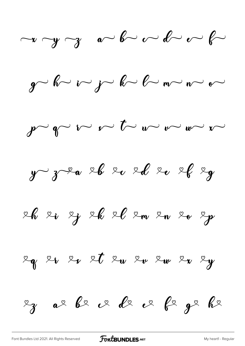$\neg y \neg y$  and  $\neg z$  and  $\neg z$ 

 $g$  b  $\sim$   $\sim$   $g$  b  $\sim$   $\sim$   $\sim$   $\sim$ 

 $\int \sqrt{v} \sqrt{v} \sim t \sqrt{v} \sqrt{v} \sqrt{v}$ 

 $y$   $z^2$   $z^6$   $z^6$   $z^2$   $z^8$   $z^9$ 

26 20 2 28 26 20 2 m 20 20 20

 $\begin{array}{ccccccccccccc}\n\mathcal{L}_{\mathbf{q}} & \mathcal{Z}_{\mathbf{v}} & \mathcal{Z}_{\mathbf{v}} & \mathcal{Z}_{\mathbf{t}} & \mathcal{Z}_{\mathbf{w}} & \mathcal{Z}_{\mathbf{w}} & \mathcal{Z}_{\mathbf{w}} & \mathcal{Z}_{\mathbf{w}} & \mathcal{Z}_{\mathbf{y}}\n\end{array}$ 

 $\begin{array}{ccccccc}\nz_{3} & a_{2} & b_{2} & c_{2} & d_{2} & c_{2} & b_{2} & d_{2}\n\end{array}$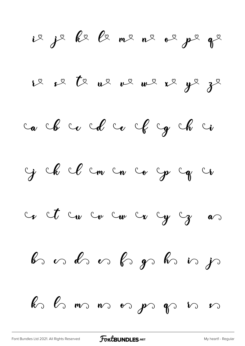ie je ke le me ne oe pe qe 12 o 2 te ue ve me 2 ge ze ca che cole cole cy che ci Geb Clemen co ge greg  $c_{\mathbf{r}}$  ct  $c_{\mathbf{w}}$   $c_{\mathbf{w}}$   $c_{\mathbf{w}}$   $c_{\mathbf{w}}$   $c_{\mathbf{y}}$   $c_{\mathbf{y}}$   $a_{\mathbf{w}}$ be on the order of the  $\mathscr{C}$  $\ell$   $\circ$   $\ell$   $\circ$   $\ldots$   $\circ$   $\circ$   $\ell$   $\circ$   $\ell$   $\circ$   $\cdot$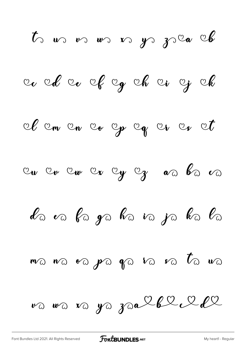$t$  us vs vs vs ys zsa A avel av of og al av og al Il en en eo ep eg er er et La va ba ya ha va ya ha ba  $m$   $\alpha$   $n$   $\alpha$   $p$   $p$   $q$   $q$   $p$   $q$   $q$   $p$   $q$   $q$   $p$   $q$   $p$   $q$   $p$   $q$   $p$   $q$   $p$   $q$   $p$   $q$   $p$   $q$   $p$   $q$ va wa va ya zaalhellel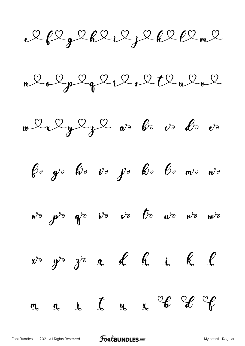2 Plg 2 R 2 i 2 j 2 R 2 Pl m 2

 $n\ell_0\ell_p\ell_q\ell_1\ell_2\ell_1\ell_1\ell_2\ell_2$ 





 $e^{i\theta}$   $p^{i\theta}$   $q^{i\theta}$   $v^{i\theta}$   $p^{i\theta}$   $p^{i\theta}$   $w^{i\theta}$   $w^{i\theta}$ 

 $x^{\circ}$   $y^{\circ}$   $3^{\circ}$  a d h i k l

 $\int_0^{\infty}$  a c i d  $\int_0^{\infty}$  d  $\int_0^{\infty}$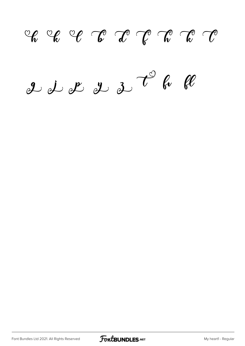$C_{\bm{k}}$   $C_{\bm{\ell}}$   $C_{\bm{\ell}}$   $C_{\bm{\ell}}$   $C_{\bm{\ell}}$   $C_{\bm{\ell}}$   $C_{\bm{\ell}}$   $C_{\bm{\ell}}$  $g\downarrow \cancel{1}$  of  $g\downarrow \cancel{2}$  t be be

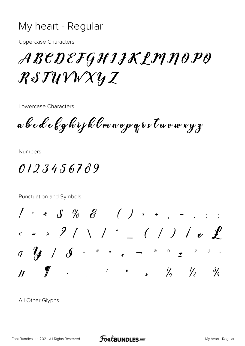#### My heart - Regular

**Uppercase Characters** 

ABEDEFGHIJKLMNOPO  $R\delta J\mathcal{U}\mathcal{V}\mathcal{W}\mathcal{X}\mathcal{Y} \mathcal{I}$ 

Lowercase Characters

a b c d e f g h i j k l m n o p q r s t u v w x y z

**Numbers** 

0123456789

Punctuation and Symbols  $1 * * S$  % & ( ) \* + , - . : ;  $\Rightarrow$  ?  $\left(\begin{array}{c} \backslash \end{array}\right)$   $\left(\begin{array}{c} \backslash \end{array}\right)$   $\rightarrow$   $\left(\begin{array}{c} \backslash \end{array}\right)$  $\overline{Q}$  $\frac{1}{2}$  .  $\frac{1}{2}$  .  $\frac{1}{2}$  .  $\frac{1}{2}$  $\frac{3}{4}$  $\overline{\mathcal{U}}$ 

All Other Glyphs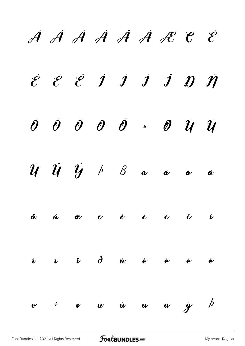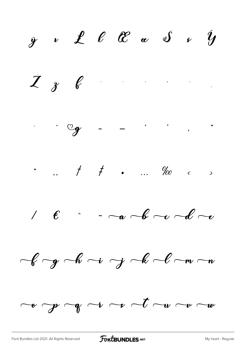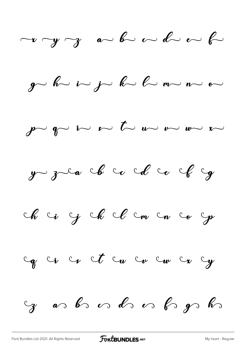$\neg x \neg y \neg z \quad a \neg b \neg c \neg b \neg c \neg b$  $g$  b i j j b  $\sim$  $\int P$   $\int P$   $\sim$   $\int P$   $\sim$   $\int P$   $\sim$   $\int P$   $\sim$   $\int P$   $\sim$   $\int P$   $\sim$ y zea che co che ce che y ch ci g ch cl cm cn co gr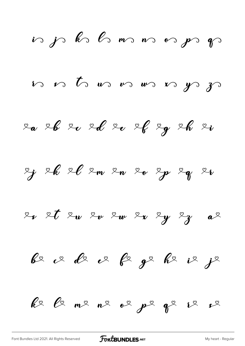is js ks ls ms ms os ps ps n n t us n m m n g g 20 26 20 20 20 26 29 26 20 2 26 26 2m 2m 20 2p 2g 26  $x_x$  et eu eu eu er ey eg a be vede e fege here je  $k$ e  $\ell$  me ne of  $p$ e qe  $l^2$  of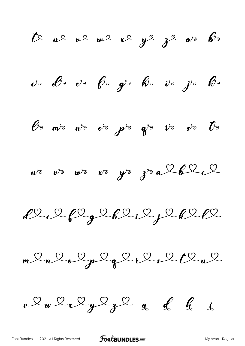$t$   $u$   $v$   $v$   $w$   $x$   $y$   $y$   $z$   $w$   $v$ vo Do vo Po go Ro vo jo Ro  $\ell$  m/s n/s et  $\rho$ /s  $q$ /s  $\nu$ s et  $\bar{t}$ s  $w^{\circ}$   $w^{\circ}$   $w^{\circ}$   $x^{\circ}$   $y^{\circ}$   $y^{\circ}$   $a^{\mathcal{L}}b^{\mathcal{L}}c^{\mathcal{L}}$  $1222222222222222$  $mQ_nQ_oQ_pQ_qQ_kQ_rQtQ_uQ$  $\nu \Omega_{w} \Omega_{x} \Omega_{y} \Omega_{z} \Omega_{q} dG_{d}$ 

[Font Bundles Ltd 2021. All Rights Reserved](https://fontbundles.net/) **FoutBUNDLES.NET** [My heart - Regular](https://fontbundles.net/)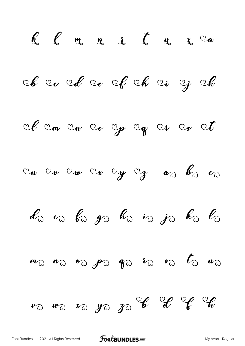